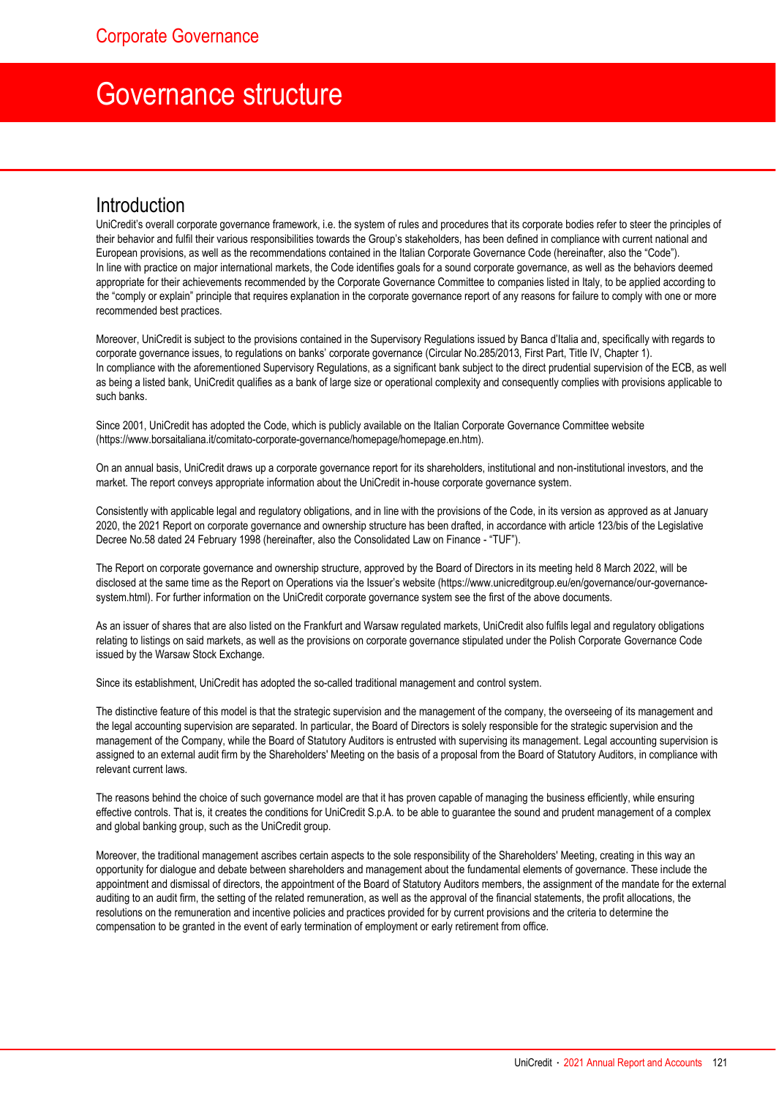### Introduction

UniCredit's overall corporate governance framework, i.e. the system of rules and procedures that its corporate bodies refer to steer the principles of their behavior and fulfil their various responsibilities towards the Group's stakeholders, has been defined in compliance with current national and European provisions, as well as the recommendations contained in the Italian Corporate Governance Code (hereinafter, also the "Code"). In line with practice on major international markets, the Code identifies goals for a sound corporate governance, as well as the behaviors deemed appropriate for their achievements recommended by the Corporate Governance Committee to companies listed in Italy, to be applied according to the "comply or explain" principle that requires explanation in the corporate governance report of any reasons for failure to comply with one or more recommended best practices.

Moreover, UniCredit is subject to the provisions contained in the Supervisory Regulations issued by Banca d'Italia and, specifically with regards to corporate governance issues, to regulations on banks' corporate governance (Circular No.285/2013, First Part, Title IV, Chapter 1). In compliance with the aforementioned Supervisory Regulations, as a significant bank subject to the direct prudential supervision of the ECB, as well as being a listed bank, UniCredit qualifies as a bank of large size or operational complexity and consequently complies with provisions applicable to such banks.

Since 2001, UniCredit has adopted the Code, which is publicly available on the Italian Corporate Governance Committee website (https://www.borsaitaliana.it/comitato-corporate-governance/homepage/homepage.en.htm).

On an annual basis, UniCredit draws up a corporate governance report for its shareholders, institutional and non-institutional investors, and the market. The report conveys appropriate information about the UniCredit in-house corporate governance system.

Consistently with applicable legal and regulatory obligations, and in line with the provisions of the Code, in its version as approved as at January 2020, the 2021 Report on corporate governance and ownership structure has been drafted, in accordance with article 123/bis of the Legislative Decree No.58 dated 24 February 1998 (hereinafter, also the Consolidated Law on Finance - "TUF").

The Report on corporate governance and ownership structure, approved by the Board of Directors in its meeting held 8 March 2022, will be disclosed at the same time as the Report on Operations via the Issuer's website (https://www.unicreditgroup.eu/en/governance/our-governancesystem.html). For further information on the UniCredit corporate governance system see the first of the above documents.

As an issuer of shares that are also listed on the Frankfurt and Warsaw regulated markets, UniCredit also fulfils legal and regulatory obligations relating to listings on said markets, as well as the provisions on corporate governance stipulated under the Polish Corporate Governance Code issued by the Warsaw Stock Exchange.

Since its establishment, UniCredit has adopted the so-called traditional management and control system.

The distinctive feature of this model is that the strategic supervision and the management of the company, the overseeing of its management and the legal accounting supervision are separated. In particular, the Board of Directors is solely responsible for the strategic supervision and the management of the Company, while the Board of Statutory Auditors is entrusted with supervising its management. Legal accounting supervision is assigned to an external audit firm by the Shareholders' Meeting on the basis of a proposal from the Board of Statutory Auditors, in compliance with relevant current laws.

The reasons behind the choice of such governance model are that it has proven capable of managing the business efficiently, while ensuring effective controls. That is, it creates the conditions for UniCredit S.p.A. to be able to guarantee the sound and prudent management of a complex and global banking group, such as the UniCredit group.

Moreover, the traditional management ascribes certain aspects to the sole responsibility of the Shareholders' Meeting, creating in this way an opportunity for dialogue and debate between shareholders and management about the fundamental elements of governance. These include the appointment and dismissal of directors, the appointment of the Board of Statutory Auditors members, the assignment of the mandate for the external auditing to an audit firm, the setting of the related remuneration, as well as the approval of the financial statements, the profit allocations, the resolutions on the remuneration and incentive policies and practices provided for by current provisions and the criteria to determine the compensation to be granted in the event of early termination of employment or early retirement from office.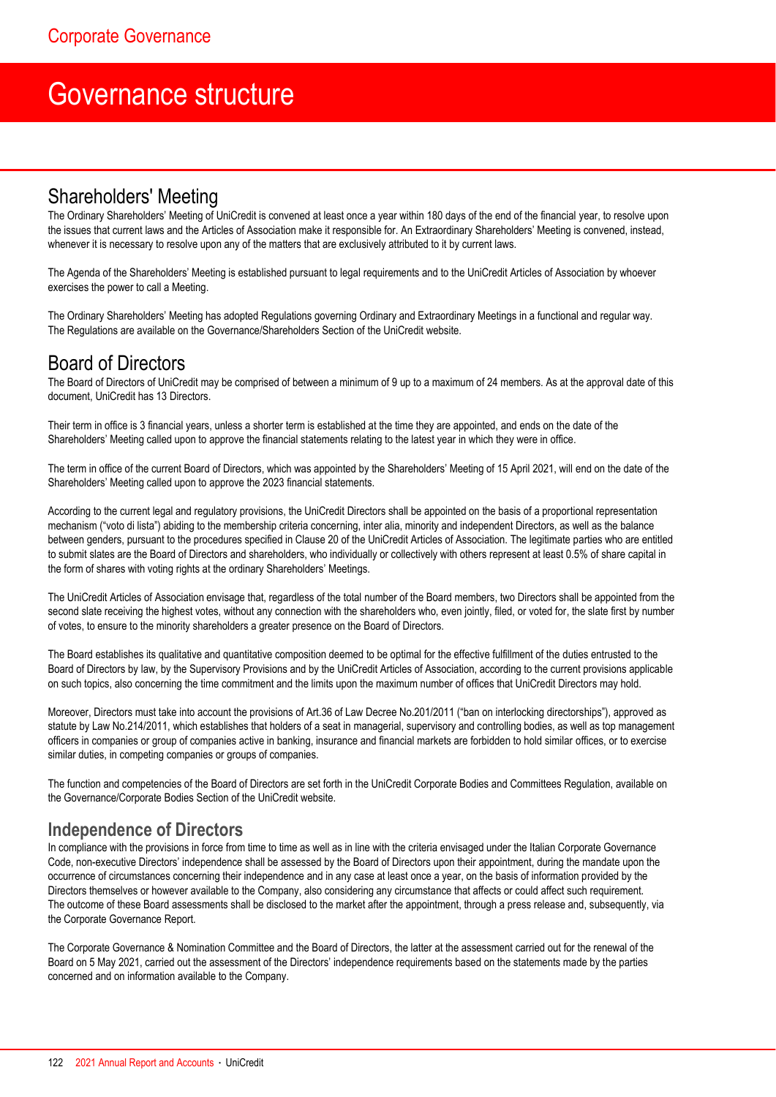### Shareholders' Meeting

The Ordinary Shareholders' Meeting of UniCredit is convened at least once a year within 180 days of the end of the financial year, to resolve upon the issues that current laws and the Articles of Association make it responsible for. An Extraordinary Shareholders' Meeting is convened, instead, whenever it is necessary to resolve upon any of the matters that are exclusively attributed to it by current laws.

The Agenda of the Shareholders' Meeting is established pursuant to legal requirements and to the UniCredit Articles of Association by whoever exercises the power to call a Meeting.

The Ordinary Shareholders' Meeting has adopted Regulations governing Ordinary and Extraordinary Meetings in a functional and regular way. The Regulations are available on the Governance/Shareholders Section of the UniCredit website.

### Board of Directors

The Board of Directors of UniCredit may be comprised of between a minimum of 9 up to a maximum of 24 members. As at the approval date of this document, UniCredit has 13 Directors.

Their term in office is 3 financial years, unless a shorter term is established at the time they are appointed, and ends on the date of the Shareholders' Meeting called upon to approve the financial statements relating to the latest year in which they were in office.

The term in office of the current Board of Directors, which was appointed by the Shareholders' Meeting of 15 April 2021, will end on the date of the Shareholders' Meeting called upon to approve the 2023 financial statements.

According to the current legal and regulatory provisions, the UniCredit Directors shall be appointed on the basis of a proportional representation mechanism ("voto di lista") abiding to the membership criteria concerning, inter alia, minority and independent Directors, as well as the balance between genders, pursuant to the procedures specified in Clause 20 of the UniCredit Articles of Association. The legitimate parties who are entitled to submit slates are the Board of Directors and shareholders, who individually or collectively with others represent at least 0.5% of share capital in the form of shares with voting rights at the ordinary Shareholders' Meetings.

The UniCredit Articles of Association envisage that, regardless of the total number of the Board members, two Directors shall be appointed from the second slate receiving the highest votes, without any connection with the shareholders who, even jointly, filed, or voted for, the slate first by number of votes, to ensure to the minority shareholders a greater presence on the Board of Directors.

The Board establishes its qualitative and quantitative composition deemed to be optimal for the effective fulfillment of the duties entrusted to the Board of Directors by law, by the Supervisory Provisions and by the UniCredit Articles of Association, according to the current provisions applicable on such topics, also concerning the time commitment and the limits upon the maximum number of offices that UniCredit Directors may hold.

Moreover, Directors must take into account the provisions of Art.36 of Law Decree No.201/2011 ("ban on interlocking directorships"), approved as statute by Law No.214/2011, which establishes that holders of a seat in managerial, supervisory and controlling bodies, as well as top management officers in companies or group of companies active in banking, insurance and financial markets are forbidden to hold similar offices, or to exercise similar duties, in competing companies or groups of companies.

The function and competencies of the Board of Directors are set forth in the UniCredit Corporate Bodies and Committees Regulation, available on the Governance/Corporate Bodies Section of the UniCredit website.

### **Independence of Directors**

In compliance with the provisions in force from time to time as well as in line with the criteria envisaged under the Italian Corporate Governance Code, non-executive Directors' independence shall be assessed by the Board of Directors upon their appointment, during the mandate upon the occurrence of circumstances concerning their independence and in any case at least once a year, on the basis of information provided by the Directors themselves or however available to the Company, also considering any circumstance that affects or could affect such requirement. The outcome of these Board assessments shall be disclosed to the market after the appointment, through a press release and, subsequently, via the Corporate Governance Report.

The Corporate Governance & Nomination Committee and the Board of Directors, the latter at the assessment carried out for the renewal of the Board on 5 May 2021, carried out the assessment of the Directors' independence requirements based on the statements made by the parties concerned and on information available to the Company.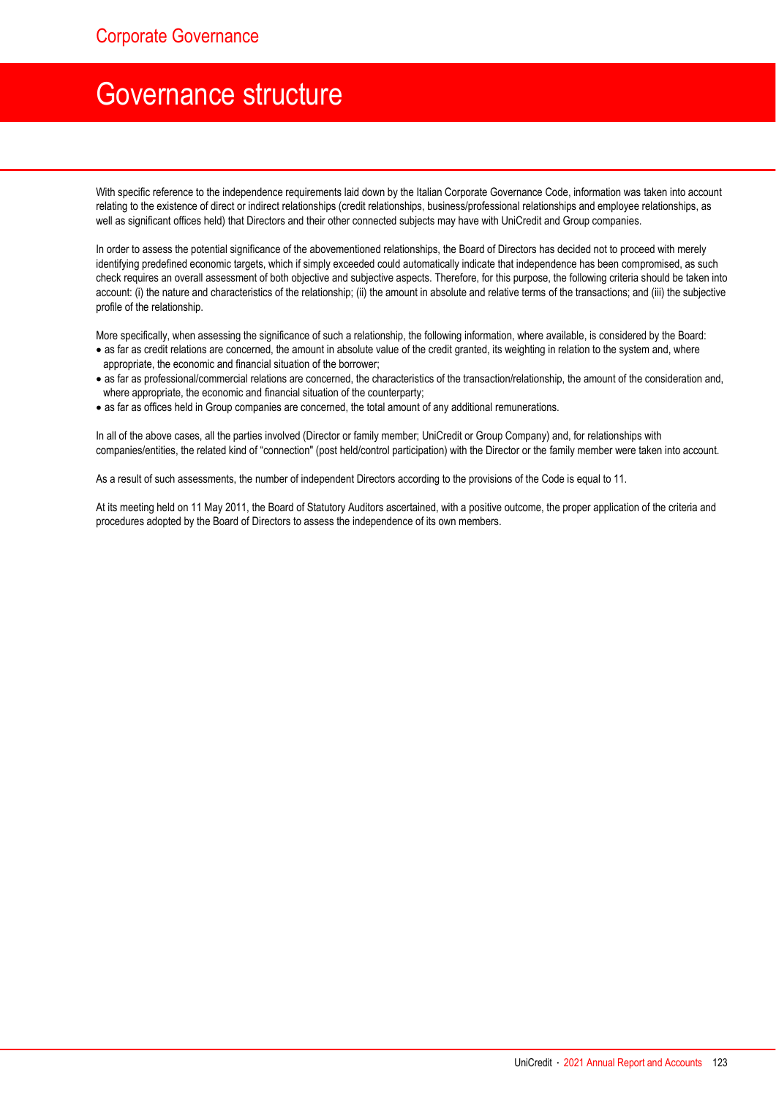With specific reference to the independence requirements laid down by the Italian Corporate Governance Code, information was taken into account relating to the existence of direct or indirect relationships (credit relationships, business/professional relationships and employee relationships, as well as significant offices held) that Directors and their other connected subjects may have with UniCredit and Group companies.

In order to assess the potential significance of the abovementioned relationships, the Board of Directors has decided not to proceed with merely identifying predefined economic targets, which if simply exceeded could automatically indicate that independence has been compromised, as such check requires an overall assessment of both objective and subjective aspects. Therefore, for this purpose, the following criteria should be taken into account: (i) the nature and characteristics of the relationship; (ii) the amount in absolute and relative terms of the transactions; and (iii) the subjective profile of the relationship.

More specifically, when assessing the significance of such a relationship, the following information, where available, is considered by the Board:

- as far as credit relations are concerned, the amount in absolute value of the credit granted, its weighting in relation to the system and, where appropriate, the economic and financial situation of the borrower;
- as far as professional/commercial relations are concerned, the characteristics of the transaction/relationship, the amount of the consideration and, where appropriate, the economic and financial situation of the counterparty;
- as far as offices held in Group companies are concerned, the total amount of any additional remunerations.

In all of the above cases, all the parties involved (Director or family member; UniCredit or Group Company) and, for relationships with companies/entities, the related kind of "connection" (post held/control participation) with the Director or the family member were taken into account.

As a result of such assessments, the number of independent Directors according to the provisions of the Code is equal to 11.

At its meeting held on 11 May 2011, the Board of Statutory Auditors ascertained, with a positive outcome, the proper application of the criteria and procedures adopted by the Board of Directors to assess the independence of its own members.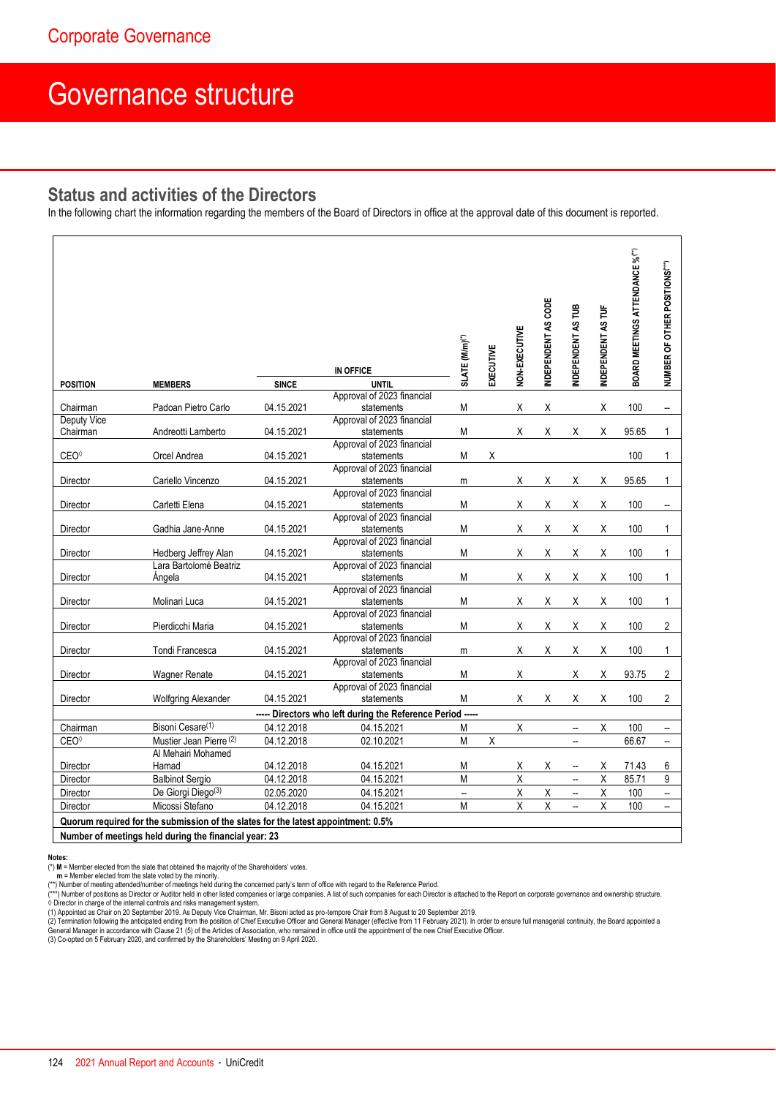#### **Status and activities of the Directors**

In the following chart the information regarding the members of the Board of Directors in office at the approval date of this document is reported.

| <b>POSITION</b>                                       | <b>MEMBERS</b>                                                                    | <b>SINCE</b> | IN OFFICE<br><b>UNTIL</b>                                | SLATE (M/m) <sup>(*)</sup> | EXECUTIVE | NON-EXECUTIVE | NDEPENDENT AS CODE | NDEPENDENT AS TUB | NDEPENDENT AS TUF | <b>BOARD MEETINGS ATTENDANCE %(")</b> | <b>NUMBER OF OTHER POSITIONS<sup>(**)</sup></b> |
|-------------------------------------------------------|-----------------------------------------------------------------------------------|--------------|----------------------------------------------------------|----------------------------|-----------|---------------|--------------------|-------------------|-------------------|---------------------------------------|-------------------------------------------------|
| Chairman                                              | Padoan Pietro Carlo                                                               | 04.15.2021   | Approval of 2023 financial<br>statements                 | M                          |           | Χ             | Χ                  |                   | Χ                 | 100                                   | --                                              |
| Deputy Vice                                           |                                                                                   |              | Approval of 2023 financial                               |                            |           |               |                    |                   |                   |                                       |                                                 |
| Chairman                                              | Andreotti Lamberto                                                                | 04.15.2021   | statements                                               | M                          |           | X             | X                  | Χ                 | X                 | 95.65                                 | 1                                               |
|                                                       |                                                                                   |              | Approval of 2023 financial                               |                            |           |               |                    |                   |                   |                                       |                                                 |
| CEO <sup>0</sup>                                      | Orcel Andrea                                                                      | 04.15.2021   | statements<br>Approval of 2023 financial                 | M                          | X         |               |                    |                   |                   | 100                                   | 1                                               |
| Director                                              | Cariello Vincenzo                                                                 | 04.15.2021   | statements                                               | m                          |           | Χ             | Χ                  | Χ                 | Χ                 | 95.65                                 | 1                                               |
|                                                       |                                                                                   |              | Approval of 2023 financial                               |                            |           |               |                    |                   |                   |                                       |                                                 |
| Director                                              | Carletti Elena                                                                    | 04.15.2021   | statements                                               | M                          |           | X             | X                  | Χ                 | Х                 | 100                                   |                                                 |
|                                                       |                                                                                   |              | Approval of 2023 financial                               |                            |           |               |                    |                   |                   |                                       |                                                 |
| Director                                              | Gadhia Jane-Anne                                                                  | 04.15.2021   | statements                                               | M                          |           | X             | X                  | Χ                 | Χ                 | 100                                   | 1                                               |
|                                                       |                                                                                   |              | Approval of 2023 financial                               |                            |           |               |                    |                   |                   |                                       |                                                 |
| Director                                              | Hedberg Jeffrey Alan                                                              | 04.15.2021   | statements                                               | M                          |           | X             | Χ                  | Χ                 | Χ                 | 100                                   | 1                                               |
| Director                                              | Lara Bartolomé Beatriz<br>Angela                                                  | 04.15.2021   | Approval of 2023 financial<br>statements                 | M                          |           | Χ             | Χ                  | Χ                 | Χ                 | 100                                   | 1                                               |
|                                                       |                                                                                   |              | Approval of 2023 financial                               |                            |           |               |                    |                   |                   |                                       |                                                 |
| Director                                              | Molinari Luca                                                                     | 04.15.2021   | statements                                               | M                          |           | Χ             | Χ                  | Χ                 | Χ                 | 100                                   | 1                                               |
|                                                       |                                                                                   |              | Approval of 2023 financial                               |                            |           |               |                    |                   |                   |                                       |                                                 |
| Director                                              | Pierdicchi Maria                                                                  | 04.15.2021   | statements                                               | M                          |           | Χ             | Χ                  | Χ                 | Χ                 | 100                                   | $\overline{2}$                                  |
|                                                       |                                                                                   |              | Approval of 2023 financial                               |                            |           |               |                    |                   |                   |                                       |                                                 |
| Director                                              | Tondi Francesca                                                                   | 04.15.2021   | statements                                               | m                          |           | Χ             |                    | Χ                 | Χ                 | 100                                   | 1                                               |
|                                                       |                                                                                   |              | Approval of 2023 financial                               | M                          |           | Χ             |                    | Χ                 |                   | 93.75                                 | $\overline{2}$                                  |
| Director                                              | Wagner Renate                                                                     | 04.15.2021   | statements<br>Approval of 2023 financial                 |                            |           |               |                    |                   | Χ                 |                                       |                                                 |
| Director                                              | <b>Wolfgring Alexander</b>                                                        | 04.15.2021   | statements                                               | M                          |           | Χ             |                    | Χ                 | Χ                 | 100                                   | $\overline{2}$                                  |
|                                                       |                                                                                   |              | --- Directors who left during the Reference Period ----- |                            |           |               |                    |                   |                   |                                       |                                                 |
| Chairman                                              | Bisoni Cesare <sup>(1)</sup>                                                      | 04.12.2018   | 04.15.2021                                               | M                          |           | Χ             |                    | ÷.                | Χ                 | 100                                   | $\overline{\phantom{a}}$                        |
| CEO <sup>0</sup>                                      | Mustier Jean Pierre <sup>(2)</sup>                                                | 04.12.2018   | 02.10.2021                                               | M                          | Χ         |               |                    | --                |                   | 66.67                                 | $\overline{\phantom{a}}$                        |
|                                                       | Al Mehairi Mohamed                                                                |              |                                                          |                            |           |               |                    |                   |                   |                                       |                                                 |
| Director                                              | Hamad                                                                             | 04.12.2018   | 04.15.2021                                               | M                          |           | Х             | Χ                  | --                | Χ                 | 71.43                                 | 6                                               |
| Director                                              | <b>Balbinot Sergio</b>                                                            | 04.12.2018   | 04.15.2021                                               | M                          |           | $\sf X$       |                    | --                | Χ                 | 85.71                                 | 9                                               |
| Director                                              | De Giorgi Diego <sup>(3)</sup>                                                    | 02.05.2020   | 04.15.2021                                               | $\overline{\phantom{a}}$   |           | Χ             | Χ                  |                   | Χ                 | 100                                   | --                                              |
| Director                                              | Micossi Stefano                                                                   | 04.12.2018   | 04.15.2021                                               | M                          |           | Χ             | Χ                  | --                | Χ                 | 100                                   | $\overline{\phantom{a}}$                        |
|                                                       | Quorum required for the submission of the slates for the latest appointment: 0.5% |              |                                                          |                            |           |               |                    |                   |                   |                                       |                                                 |
| Number of meetings held during the financial year: 23 |                                                                                   |              |                                                          |                            |           |               |                    |                   |                   |                                       |                                                 |

**Notes:** (\*) **M** = Member elected from the slate that obtained the majority of the Shareholders' votes.

\_ m = Member elected from the slate voted by the minority.<br>(\*\*) Number of meeting attended/number of meetings held during the concerned party's term of office with regard to the Reference Period.<br>(\*\*\*) Number of position ◊ Director in charge of the internal controls and risks management system.<br>(1) Appointed as Chair on 20 September 2019. As Deputy Vice Chairman, Mr. Bisoni acted as pro-tempore Chair from 8 August to 20 September 2019.<br>(

General Manager in accordance with Clause 21 (5) of the Articles of Association, who remained in office until the appointment of the new Chief Executive Officer.<br>(3) Co-opted on 5 February 2020, and confirmed by the Shareh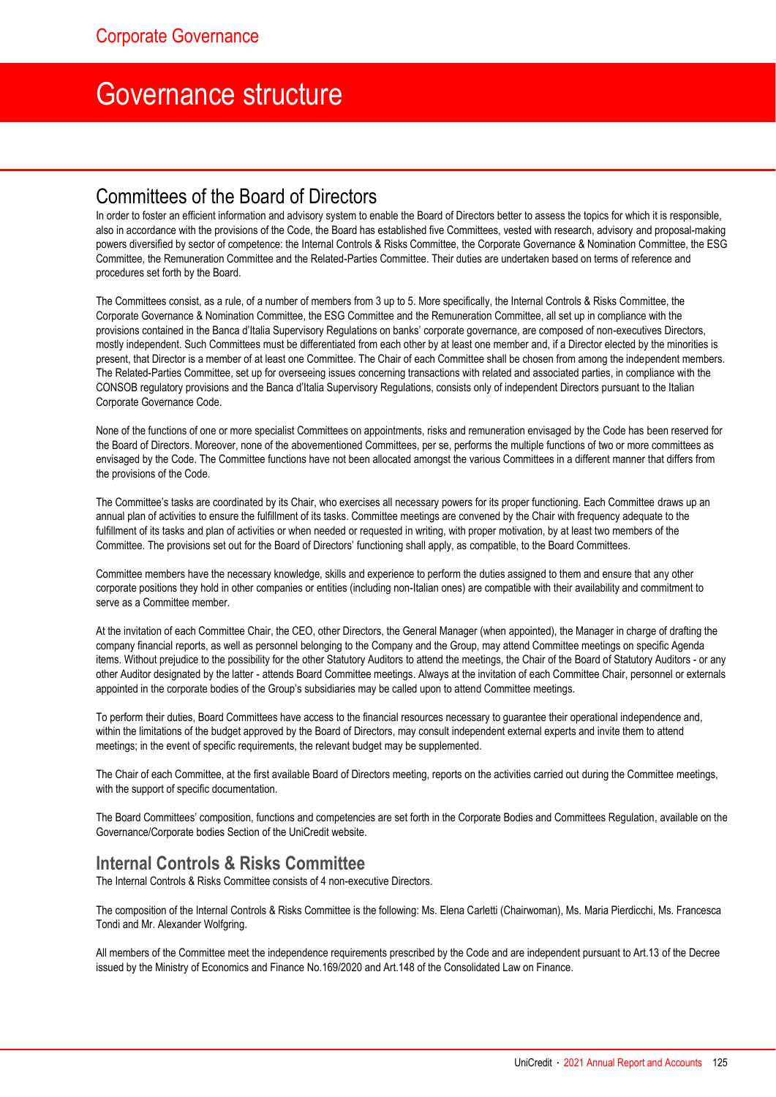## Committees of the Board of Directors

In order to foster an efficient information and advisory system to enable the Board of Directors better to assess the topics for which it is responsible, also in accordance with the provisions of the Code, the Board has established five Committees, vested with research, advisory and proposal-making powers diversified by sector of competence: the Internal Controls & Risks Committee, the Corporate Governance & Nomination Committee, the ESG Committee, the Remuneration Committee and the Related-Parties Committee. Their duties are undertaken based on terms of reference and procedures set forth by the Board.

The Committees consist, as a rule, of a number of members from 3 up to 5. More specifically, the Internal Controls & Risks Committee, the Corporate Governance & Nomination Committee, the ESG Committee and the Remuneration Committee, all set up in compliance with the provisions contained in the Banca d'Italia Supervisory Regulations on banks' corporate governance, are composed of non-executives Directors, mostly independent. Such Committees must be differentiated from each other by at least one member and, if a Director elected by the minorities is present, that Director is a member of at least one Committee. The Chair of each Committee shall be chosen from among the independent members. The Related-Parties Committee, set up for overseeing issues concerning transactions with related and associated parties, in compliance with the CONSOB regulatory provisions and the Banca d'Italia Supervisory Regulations, consists only of independent Directors pursuant to the Italian Corporate Governance Code.

None of the functions of one or more specialist Committees on appointments, risks and remuneration envisaged by the Code has been reserved for the Board of Directors. Moreover, none of the abovementioned Committees, per se, performs the multiple functions of two or more committees as envisaged by the Code. The Committee functions have not been allocated amongst the various Committees in a different manner that differs from the provisions of the Code.

The Committee's tasks are coordinated by its Chair, who exercises all necessary powers for its proper functioning. Each Committee draws up an annual plan of activities to ensure the fulfillment of its tasks. Committee meetings are convened by the Chair with frequency adequate to the fulfillment of its tasks and plan of activities or when needed or requested in writing, with proper motivation, by at least two members of the Committee. The provisions set out for the Board of Directors' functioning shall apply, as compatible, to the Board Committees.

Committee members have the necessary knowledge, skills and experience to perform the duties assigned to them and ensure that any other corporate positions they hold in other companies or entities (including non-Italian ones) are compatible with their availability and commitment to serve as a Committee member.

At the invitation of each Committee Chair, the CEO, other Directors, the General Manager (when appointed), the Manager in charge of drafting the company financial reports, as well as personnel belonging to the Company and the Group, may attend Committee meetings on specific Agenda items. Without prejudice to the possibility for the other Statutory Auditors to attend the meetings, the Chair of the Board of Statutory Auditors - or any other Auditor designated by the latter - attends Board Committee meetings. Always at the invitation of each Committee Chair, personnel or externals appointed in the corporate bodies of the Group's subsidiaries may be called upon to attend Committee meetings.

To perform their duties, Board Committees have access to the financial resources necessary to guarantee their operational independence and, within the limitations of the budget approved by the Board of Directors, may consult independent external experts and invite them to attend meetings; in the event of specific requirements, the relevant budget may be supplemented.

The Chair of each Committee, at the first available Board of Directors meeting, reports on the activities carried out during the Committee meetings, with the support of specific documentation.

The Board Committees' composition, functions and competencies are set forth in the Corporate Bodies and Committees Regulation, available on the Governance/Corporate bodies Section of the UniCredit website.

### **Internal Controls & Risks Committee**

The Internal Controls & Risks Committee consists of 4 non-executive Directors.

The composition of the Internal Controls & Risks Committee is the following: Ms. Elena Carletti (Chairwoman), Ms. Maria Pierdicchi, Ms. Francesca Tondi and Mr. Alexander Wolfgring.

All members of the Committee meet the independence requirements prescribed by the Code and are independent pursuant to Art.13 of the Decree issued by the Ministry of Economics and Finance No.169/2020 and Art.148 of the Consolidated Law on Finance.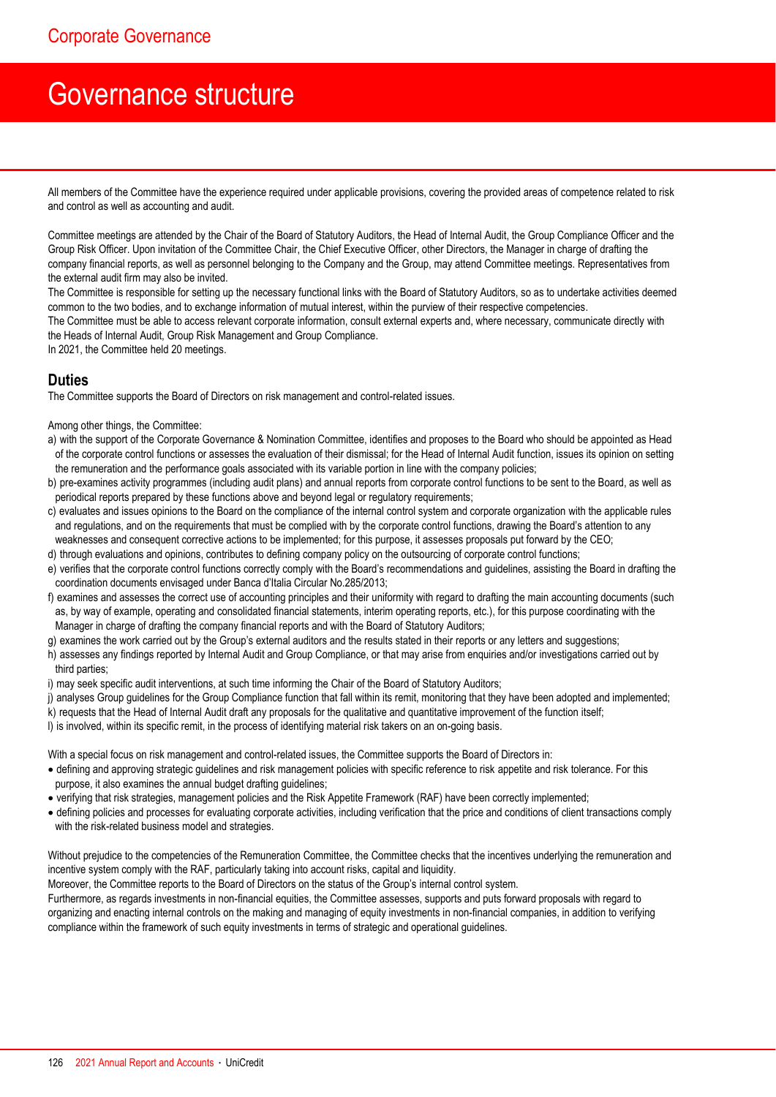All members of the Committee have the experience required under applicable provisions, covering the provided areas of competence related to risk and control as well as accounting and audit.

Committee meetings are attended by the Chair of the Board of Statutory Auditors, the Head of Internal Audit, the Group Compliance Officer and the Group Risk Officer. Upon invitation of the Committee Chair, the Chief Executive Officer, other Directors, the Manager in charge of drafting the company financial reports, as well as personnel belonging to the Company and the Group, may attend Committee meetings. Representatives from the external audit firm may also be invited.

The Committee is responsible for setting up the necessary functional links with the Board of Statutory Auditors, so as to undertake activities deemed common to the two bodies, and to exchange information of mutual interest, within the purview of their respective competencies.

The Committee must be able to access relevant corporate information, consult external experts and, where necessary, communicate directly with the Heads of Internal Audit, Group Risk Management and Group Compliance.

In 2021, the Committee held 20 meetings.

#### **Duties**

The Committee supports the Board of Directors on risk management and control-related issues.

Among other things, the Committee:

- a) with the support of the Corporate Governance & Nomination Committee, identifies and proposes to the Board who should be appointed as Head of the corporate control functions or assesses the evaluation of their dismissal; for the Head of Internal Audit function, issues its opinion on setting the remuneration and the performance goals associated with its variable portion in line with the company policies;
- b) pre-examines activity programmes (including audit plans) and annual reports from corporate control functions to be sent to the Board, as well as periodical reports prepared by these functions above and beyond legal or regulatory requirements;
- c) evaluates and issues opinions to the Board on the compliance of the internal control system and corporate organization with the applicable rules and regulations, and on the requirements that must be complied with by the corporate control functions, drawing the Board's attention to any weaknesses and consequent corrective actions to be implemented; for this purpose, it assesses proposals put forward by the CEO;
- d) through evaluations and opinions, contributes to defining company policy on the outsourcing of corporate control functions;
- e) verifies that the corporate control functions correctly comply with the Board's recommendations and guidelines, assisting the Board in drafting the coordination documents envisaged under Banca d'Italia Circular No.285/2013;
- f) examines and assesses the correct use of accounting principles and their uniformity with regard to drafting the main accounting documents (such as, by way of example, operating and consolidated financial statements, interim operating reports, etc.), for this purpose coordinating with the Manager in charge of drafting the company financial reports and with the Board of Statutory Auditors;
- g) examines the work carried out by the Group's external auditors and the results stated in their reports or any letters and suggestions;
- h) assesses any findings reported by Internal Audit and Group Compliance, or that may arise from enquiries and/or investigations carried out by third parties;
- i) may seek specific audit interventions, at such time informing the Chair of the Board of Statutory Auditors;
- j) analyses Group guidelines for the Group Compliance function that fall within its remit, monitoring that they have been adopted and implemented;
- k) requests that the Head of Internal Audit draft any proposals for the qualitative and quantitative improvement of the function itself;
- l) is involved, within its specific remit, in the process of identifying material risk takers on an on-going basis.

With a special focus on risk management and control-related issues, the Committee supports the Board of Directors in:

- defining and approving strategic guidelines and risk management policies with specific reference to risk appetite and risk tolerance. For this purpose, it also examines the annual budget drafting guidelines;
- verifying that risk strategies, management policies and the Risk Appetite Framework (RAF) have been correctly implemented;
- defining policies and processes for evaluating corporate activities, including verification that the price and conditions of client transactions comply with the risk-related business model and strategies.

Without prejudice to the competencies of the Remuneration Committee, the Committee checks that the incentives underlying the remuneration and incentive system comply with the RAF, particularly taking into account risks, capital and liquidity.

Moreover, the Committee reports to the Board of Directors on the status of the Group's internal control system.

Furthermore, as regards investments in non-financial equities, the Committee assesses, supports and puts forward proposals with regard to organizing and enacting internal controls on the making and managing of equity investments in non-financial companies, in addition to verifying compliance within the framework of such equity investments in terms of strategic and operational guidelines.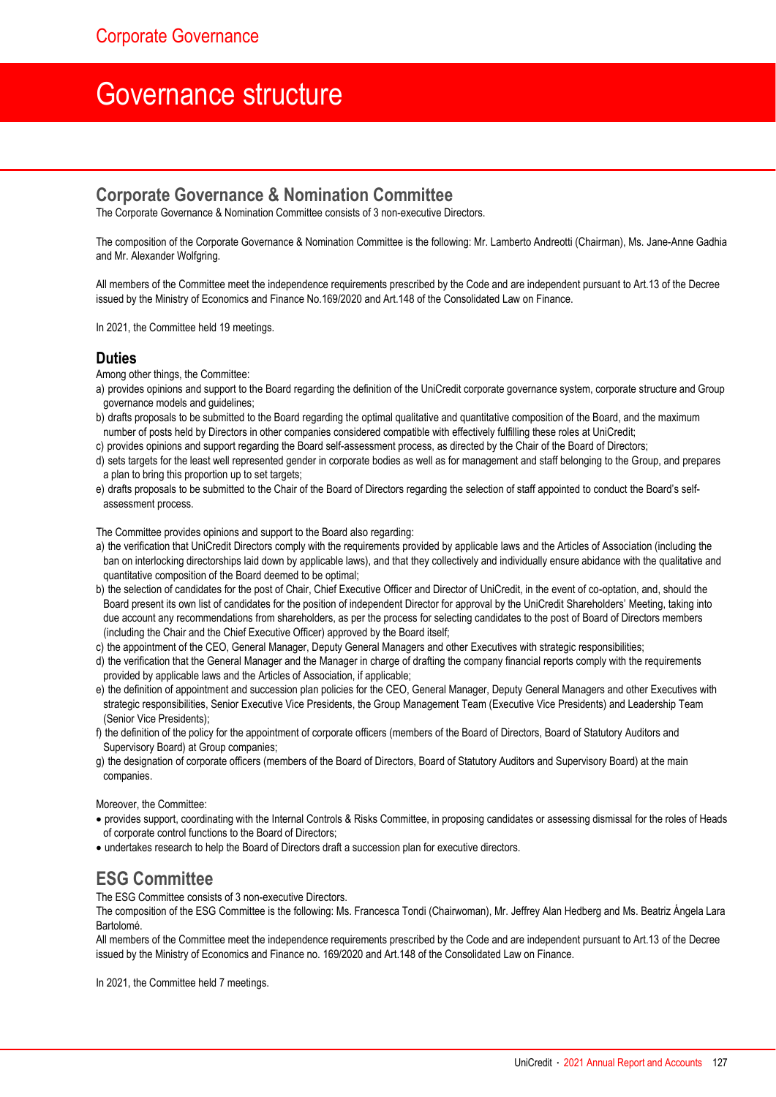### **Corporate Governance & Nomination Committee**

The Corporate Governance & Nomination Committee consists of 3 non-executive Directors.

The composition of the Corporate Governance & Nomination Committee is the following: Mr. Lamberto Andreotti (Chairman), Ms. Jane-Anne Gadhia and Mr. Alexander Wolfgring.

All members of the Committee meet the independence requirements prescribed by the Code and are independent pursuant to Art.13 of the Decree issued by the Ministry of Economics and Finance No.169/2020 and Art.148 of the Consolidated Law on Finance.

In 2021, the Committee held 19 meetings.

#### **Duties**

Among other things, the Committee:

- a) provides opinions and support to the Board regarding the definition of the UniCredit corporate governance system, corporate structure and Group governance models and guidelines;
- b) drafts proposals to be submitted to the Board regarding the optimal qualitative and quantitative composition of the Board, and the maximum number of posts held by Directors in other companies considered compatible with effectively fulfilling these roles at UniCredit;
- c) provides opinions and support regarding the Board self-assessment process, as directed by the Chair of the Board of Directors;
- d) sets targets for the least well represented gender in corporate bodies as well as for management and staff belonging to the Group, and prepares a plan to bring this proportion up to set targets;
- e) drafts proposals to be submitted to the Chair of the Board of Directors regarding the selection of staff appointed to conduct the Board's selfassessment process.

The Committee provides opinions and support to the Board also regarding:

- a) the verification that UniCredit Directors comply with the requirements provided by applicable laws and the Articles of Association (including the ban on interlocking directorships laid down by applicable laws), and that they collectively and individually ensure abidance with the qualitative and quantitative composition of the Board deemed to be optimal;
- b) the selection of candidates for the post of Chair, Chief Executive Officer and Director of UniCredit, in the event of co-optation, and, should the Board present its own list of candidates for the position of independent Director for approval by the UniCredit Shareholders' Meeting, taking into due account any recommendations from shareholders, as per the process for selecting candidates to the post of Board of Directors members (including the Chair and the Chief Executive Officer) approved by the Board itself;
- c) the appointment of the CEO, General Manager, Deputy General Managers and other Executives with strategic responsibilities;
- d) the verification that the General Manager and the Manager in charge of drafting the company financial reports comply with the requirements provided by applicable laws and the Articles of Association, if applicable;
- e) the definition of appointment and succession plan policies for the CEO, General Manager, Deputy General Managers and other Executives with strategic responsibilities, Senior Executive Vice Presidents, the Group Management Team (Executive Vice Presidents) and Leadership Team (Senior Vice Presidents);
- f) the definition of the policy for the appointment of corporate officers (members of the Board of Directors, Board of Statutory Auditors and Supervisory Board) at Group companies;
- g) the designation of corporate officers (members of the Board of Directors, Board of Statutory Auditors and Supervisory Board) at the main companies.

Moreover, the Committee:

- provides support, coordinating with the Internal Controls & Risks Committee, in proposing candidates or assessing dismissal for the roles of Heads of corporate control functions to the Board of Directors;
- undertakes research to help the Board of Directors draft a succession plan for executive directors.

### **ESG Committee**

The ESG Committee consists of 3 non-executive Directors.

The composition of the ESG Committee is the following: Ms. Francesca Tondi (Chairwoman), Mr. Jeffrey Alan Hedberg and Ms. Beatriz Ángela Lara Bartolomé.

All members of the Committee meet the independence requirements prescribed by the Code and are independent pursuant to Art.13 of the Decree issued by the Ministry of Economics and Finance no. 169/2020 and Art.148 of the Consolidated Law on Finance.

In 2021, the Committee held 7 meetings.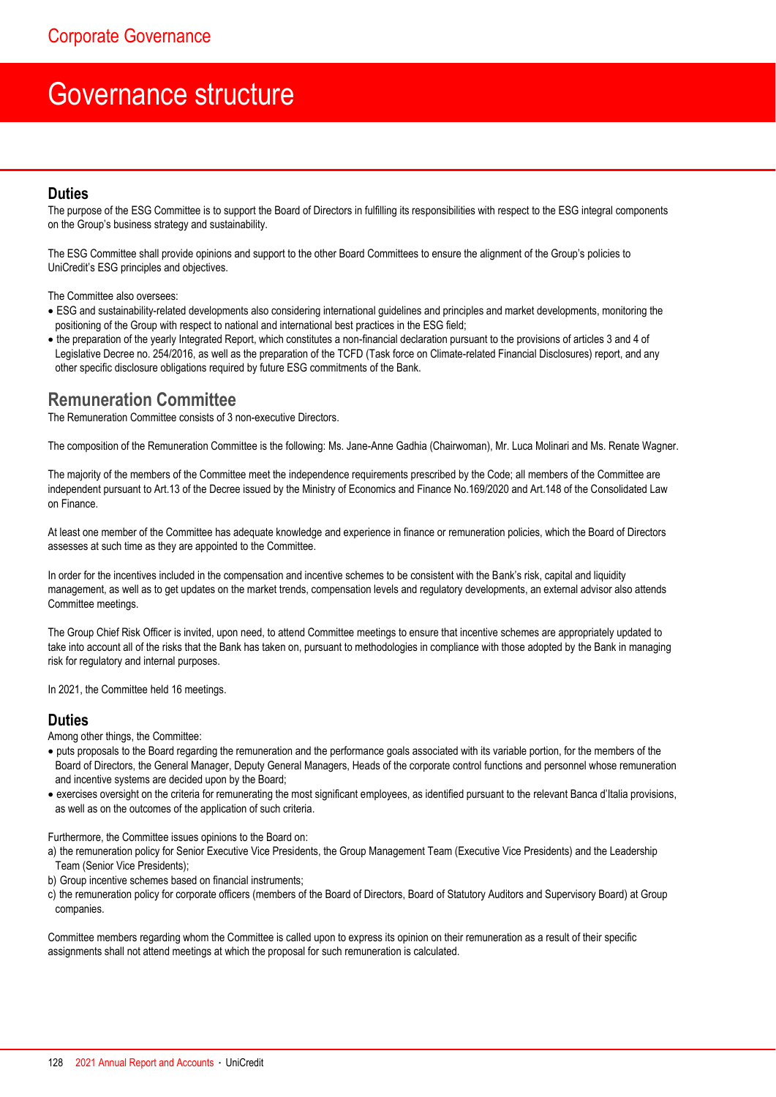#### **Duties**

The purpose of the ESG Committee is to support the Board of Directors in fulfilling its responsibilities with respect to the ESG integral components on the Group's business strategy and sustainability.

The ESG Committee shall provide opinions and support to the other Board Committees to ensure the alignment of the Group's policies to UniCredit's ESG principles and objectives.

The Committee also oversees:

- ESG and sustainability-related developments also considering international guidelines and principles and market developments, monitoring the positioning of the Group with respect to national and international best practices in the ESG field;
- the preparation of the yearly Integrated Report, which constitutes a non-financial declaration pursuant to the provisions of articles 3 and 4 of Legislative Decree no. 254/2016, as well as the preparation of the TCFD (Task force on Climate-related Financial Disclosures) report, and any other specific disclosure obligations required by future ESG commitments of the Bank.

### **Remuneration Committee**

The Remuneration Committee consists of 3 non-executive Directors.

The composition of the Remuneration Committee is the following: Ms. Jane-Anne Gadhia (Chairwoman), Mr. Luca Molinari and Ms. Renate Wagner.

The majority of the members of the Committee meet the independence requirements prescribed by the Code; all members of the Committee are independent pursuant to Art.13 of the Decree issued by the Ministry of Economics and Finance No.169/2020 and Art.148 of the Consolidated Law on Finance.

At least one member of the Committee has adequate knowledge and experience in finance or remuneration policies, which the Board of Directors assesses at such time as they are appointed to the Committee.

In order for the incentives included in the compensation and incentive schemes to be consistent with the Bank's risk, capital and liquidity management, as well as to get updates on the market trends, compensation levels and regulatory developments, an external advisor also attends Committee meetings.

The Group Chief Risk Officer is invited, upon need, to attend Committee meetings to ensure that incentive schemes are appropriately updated to take into account all of the risks that the Bank has taken on, pursuant to methodologies in compliance with those adopted by the Bank in managing risk for regulatory and internal purposes.

In 2021, the Committee held 16 meetings.

#### **Duties**

Among other things, the Committee:

- puts proposals to the Board regarding the remuneration and the performance goals associated with its variable portion, for the members of the Board of Directors, the General Manager, Deputy General Managers, Heads of the corporate control functions and personnel whose remuneration and incentive systems are decided upon by the Board;
- exercises oversight on the criteria for remunerating the most significant employees, as identified pursuant to the relevant Banca d'Italia provisions, as well as on the outcomes of the application of such criteria.

Furthermore, the Committee issues opinions to the Board on:

- a) the remuneration policy for Senior Executive Vice Presidents, the Group Management Team (Executive Vice Presidents) and the Leadership Team (Senior Vice Presidents);
- b) Group incentive schemes based on financial instruments;
- c) the remuneration policy for corporate officers (members of the Board of Directors, Board of Statutory Auditors and Supervisory Board) at Group companies.

Committee members regarding whom the Committee is called upon to express its opinion on their remuneration as a result of their specific assignments shall not attend meetings at which the proposal for such remuneration is calculated.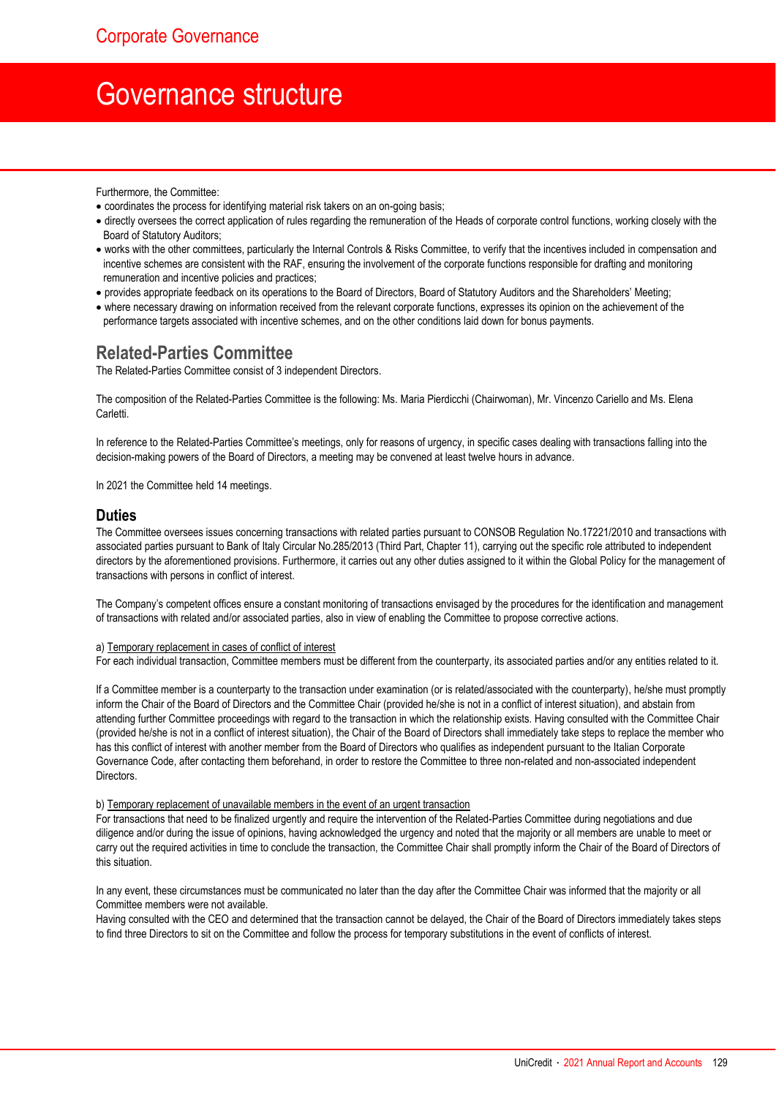Furthermore, the Committee:

- coordinates the process for identifying material risk takers on an on-going basis;
- directly oversees the correct application of rules regarding the remuneration of the Heads of corporate control functions, working closely with the Board of Statutory Auditors;
- works with the other committees, particularly the Internal Controls & Risks Committee, to verify that the incentives included in compensation and incentive schemes are consistent with the RAF, ensuring the involvement of the corporate functions responsible for drafting and monitoring remuneration and incentive policies and practices;
- provides appropriate feedback on its operations to the Board of Directors, Board of Statutory Auditors and the Shareholders' Meeting;
- where necessary drawing on information received from the relevant corporate functions, expresses its opinion on the achievement of the performance targets associated with incentive schemes, and on the other conditions laid down for bonus payments.

### **Related-Parties Committee**

The Related-Parties Committee consist of 3 independent Directors.

The composition of the Related-Parties Committee is the following: Ms. Maria Pierdicchi (Chairwoman), Mr. Vincenzo Cariello and Ms. Elena Carletti.

In reference to the Related-Parties Committee's meetings, only for reasons of urgency, in specific cases dealing with transactions falling into the decision-making powers of the Board of Directors, a meeting may be convened at least twelve hours in advance.

In 2021 the Committee held 14 meetings.

#### **Duties**

The Committee oversees issues concerning transactions with related parties pursuant to CONSOB Regulation No.17221/2010 and transactions with associated parties pursuant to Bank of Italy Circular No.285/2013 (Third Part, Chapter 11), carrying out the specific role attributed to independent directors by the aforementioned provisions. Furthermore, it carries out any other duties assigned to it within the Global Policy for the management of transactions with persons in conflict of interest.

The Company's competent offices ensure a constant monitoring of transactions envisaged by the procedures for the identification and management of transactions with related and/or associated parties, also in view of enabling the Committee to propose corrective actions.

#### a) Temporary replacement in cases of conflict of interest

For each individual transaction, Committee members must be different from the counterparty, its associated parties and/or any entities related to it.

If a Committee member is a counterparty to the transaction under examination (or is related/associated with the counterparty), he/she must promptly inform the Chair of the Board of Directors and the Committee Chair (provided he/she is not in a conflict of interest situation), and abstain from attending further Committee proceedings with regard to the transaction in which the relationship exists. Having consulted with the Committee Chair (provided he/she is not in a conflict of interest situation), the Chair of the Board of Directors shall immediately take steps to replace the member who has this conflict of interest with another member from the Board of Directors who qualifies as independent pursuant to the Italian Corporate Governance Code, after contacting them beforehand, in order to restore the Committee to three non-related and non-associated independent **Directors** 

b) Temporary replacement of unavailable members in the event of an urgent transaction

For transactions that need to be finalized urgently and require the intervention of the Related-Parties Committee during negotiations and due diligence and/or during the issue of opinions, having acknowledged the urgency and noted that the majority or all members are unable to meet or carry out the required activities in time to conclude the transaction, the Committee Chair shall promptly inform the Chair of the Board of Directors of this situation.

In any event, these circumstances must be communicated no later than the day after the Committee Chair was informed that the majority or all Committee members were not available.

Having consulted with the CEO and determined that the transaction cannot be delayed, the Chair of the Board of Directors immediately takes steps to find three Directors to sit on the Committee and follow the process for temporary substitutions in the event of conflicts of interest.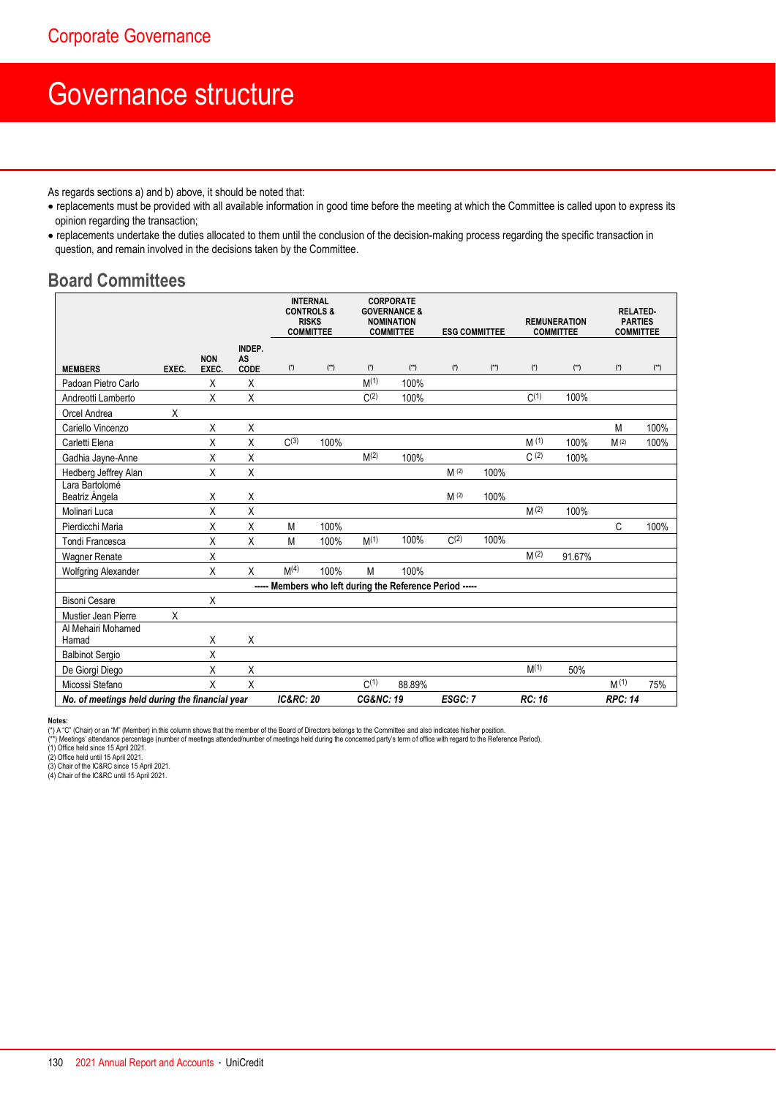As regards sections a) and b) above, it should be noted that:

- replacements must be provided with all available information in good time before the meeting at which the Committee is called upon to express its opinion regarding the transaction;
- replacements undertake the duties allocated to them until the conclusion of the decision-making process regarding the specific transaction in question, and remain involved in the decisions taken by the Committee.

### **Board Committees**

|                                                |       |            |              |                      | <b>INTERNAL</b><br><b>CONTROLS &amp;</b><br><b>RISKS</b><br><b>COMMITTEE</b> |                        | <b>CORPORATE</b><br><b>GOVERNANCE &amp;</b><br><b>NOMINATION</b><br><b>COMMITTEE</b> | <b>ESG COMMITTEE</b> |       |                  | <b>REMUNERATION</b><br><b>COMMITTEE</b> | <b>RELATED-</b><br><b>PARTIES</b><br><b>COMMITTEE</b> |         |
|------------------------------------------------|-------|------------|--------------|----------------------|------------------------------------------------------------------------------|------------------------|--------------------------------------------------------------------------------------|----------------------|-------|------------------|-----------------------------------------|-------------------------------------------------------|---------|
|                                                |       | <b>NON</b> | INDEP.<br>AS | $(*)$                | $(*)$                                                                        | $(*)$                  | $(*)$                                                                                | $(*)$                | $(*)$ | $(*)$            | $(*)$                                   | $(*)$                                                 | $($ **) |
| <b>MEMBERS</b>                                 | EXEC. | EXEC.      | CODE         |                      |                                                                              |                        |                                                                                      |                      |       |                  |                                         |                                                       |         |
| Padoan Pietro Carlo                            |       | Χ          | Χ            |                      |                                                                              | $M^{(1)}$<br>$C^{(2)}$ | 100%                                                                                 |                      |       | $C^{(1)}$        | 100%                                    |                                                       |         |
| Andreotti Lamberto                             |       | X          | X            |                      |                                                                              |                        | 100%                                                                                 |                      |       |                  |                                         |                                                       |         |
| Orcel Andrea                                   | X     |            |              |                      |                                                                              |                        |                                                                                      |                      |       |                  |                                         |                                                       |         |
| Cariello Vincenzo                              |       | Χ          | X            |                      |                                                                              |                        |                                                                                      |                      |       |                  |                                         | M                                                     | 100%    |
| Carletti Elena                                 |       | Χ          | Χ            | $C^{(3)}$            | 100%                                                                         |                        |                                                                                      |                      |       | M(1)             | 100%                                    | M <sup>(2)</sup>                                      | 100%    |
| Gadhia Jayne-Anne                              |       | Χ          | Χ            |                      |                                                                              | M <sup>(2)</sup>       | 100%                                                                                 |                      |       | $C^{(2)}$        | 100%                                    |                                                       |         |
| Hedberg Jeffrey Alan                           |       | X          | X            |                      |                                                                              |                        |                                                                                      | M(2)                 | 100%  |                  |                                         |                                                       |         |
| Lara Bartolomé<br>Beatriz Ángela               |       | Χ          | Χ            |                      |                                                                              |                        |                                                                                      | M(2)                 | 100%  |                  |                                         |                                                       |         |
| Molinari Luca                                  |       | Χ          | Χ            |                      |                                                                              |                        |                                                                                      |                      |       | M <sup>(2)</sup> | 100%                                    |                                                       |         |
| Pierdicchi Maria                               |       | Χ          | X            | M                    | 100%                                                                         |                        |                                                                                      |                      |       |                  |                                         | C                                                     | 100%    |
| Tondi Francesca                                |       | X          | Χ            | M                    | 100%                                                                         | M <sup>(1)</sup>       | 100%                                                                                 | $C^{(2)}$            | 100%  |                  |                                         |                                                       |         |
| <b>Wagner Renate</b>                           |       | Χ          |              |                      |                                                                              |                        |                                                                                      |                      |       | M <sup>(2)</sup> | 91.67%                                  |                                                       |         |
| <b>Wolfgring Alexander</b>                     |       | X          | X            | M <sup>(4)</sup>     | 100%                                                                         | M                      | 100%                                                                                 |                      |       |                  |                                         |                                                       |         |
|                                                |       |            |              |                      |                                                                              |                        | ----- Members who left during the Reference Period -----                             |                      |       |                  |                                         |                                                       |         |
| <b>Bisoni Cesare</b>                           |       | X          |              |                      |                                                                              |                        |                                                                                      |                      |       |                  |                                         |                                                       |         |
| Mustier Jean Pierre                            | X     |            |              |                      |                                                                              |                        |                                                                                      |                      |       |                  |                                         |                                                       |         |
| Al Mehairi Mohamed                             |       |            |              |                      |                                                                              |                        |                                                                                      |                      |       |                  |                                         |                                                       |         |
| Hamad                                          |       | Χ          | X            |                      |                                                                              |                        |                                                                                      |                      |       |                  |                                         |                                                       |         |
| <b>Balbinot Sergio</b>                         |       | Χ          |              |                      |                                                                              |                        |                                                                                      |                      |       |                  |                                         |                                                       |         |
| De Giorgi Diego                                |       | Χ          | X            |                      |                                                                              |                        |                                                                                      |                      |       | $M^{(1)}$        | 50%                                     |                                                       |         |
| Micossi Stefano                                |       | X          | X            |                      |                                                                              | $C^{(1)}$              | 88.89%                                                                               |                      |       |                  |                                         | M <sup>(1)</sup>                                      | 75%     |
| No. of meetings held during the financial year |       |            |              | <b>IC&amp;RC: 20</b> |                                                                              | <b>CG&amp;NC: 19</b>   |                                                                                      | ESGC: 7              |       | <b>RC: 16</b>    |                                         | <b>RPC: 14</b>                                        |         |

Notes:<br>(\*) A "C" (Chair) or an "M" (Member) in this column shows that the member of the Board of Directors belongs to the Committee and also indicates his/her position.<br>(\*\*) Meetings' attendance percentage (number of meeti

(1) Office held since 15 April 2021. (2) Office held until 15 April 2021. (3) Chair of the IC&RC since 15 April 2021.

(4) Chair of the IC&RC until 15 April 2021.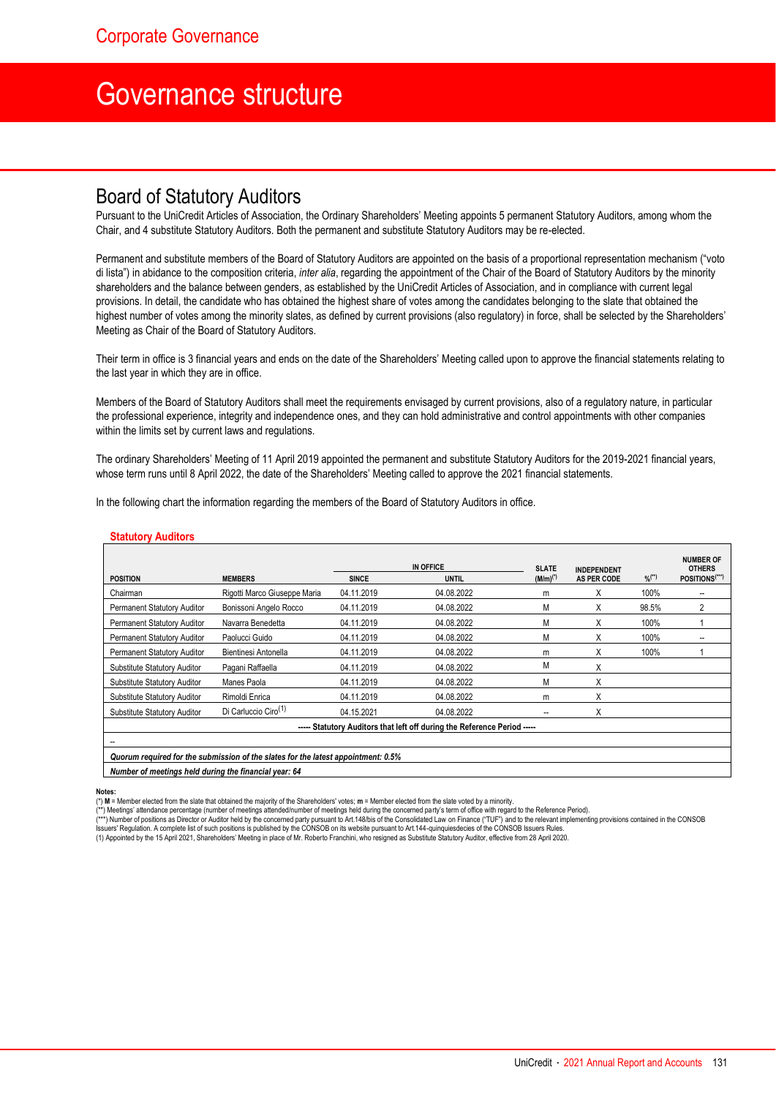### Board of Statutory Auditors

Pursuant to the UniCredit Articles of Association, the Ordinary Shareholders' Meeting appoints 5 permanent Statutory Auditors, among whom the Chair, and 4 substitute Statutory Auditors. Both the permanent and substitute Statutory Auditors may be re-elected.

Permanent and substitute members of the Board of Statutory Auditors are appointed on the basis of a proportional representation mechanism ("voto di lista") in abidance to the composition criteria, *inter alia*, regarding the appointment of the Chair of the Board of Statutory Auditors by the minority shareholders and the balance between genders, as established by the UniCredit Articles of Association, and in compliance with current legal provisions. In detail, the candidate who has obtained the highest share of votes among the candidates belonging to the slate that obtained the highest number of votes among the minority slates, as defined by current provisions (also regulatory) in force, shall be selected by the Shareholders' Meeting as Chair of the Board of Statutory Auditors.

Their term in office is 3 financial years and ends on the date of the Shareholders' Meeting called upon to approve the financial statements relating to the last year in which they are in office.

Members of the Board of Statutory Auditors shall meet the requirements envisaged by current provisions, also of a regulatory nature, in particular the professional experience, integrity and independence ones, and they can hold administrative and control appointments with other companies within the limits set by current laws and regulations.

The ordinary Shareholders' Meeting of 11 April 2019 appointed the permanent and substitute Statutory Auditors for the 2019-2021 financial years, whose term runs until 8 April 2022, the date of the Shareholders' Meeting called to approve the 2021 financial statements.

In the following chart the information regarding the members of the Board of Statutory Auditors in office.

#### **Statutory Auditors**

|                                                       |                                                                                   |              | IN OFFICE                                                                | <b>SLATE</b>  | <b>INDEPENDENT</b> |                       | <b>NUMBER OF</b><br><b>OTHERS</b> |
|-------------------------------------------------------|-----------------------------------------------------------------------------------|--------------|--------------------------------------------------------------------------|---------------|--------------------|-----------------------|-----------------------------------|
| <b>POSITION</b>                                       | <b>MEMBERS</b>                                                                    | <b>SINCE</b> | <b>UNTIL</b>                                                             | $(M/m)^{(*)}$ | <b>AS PER CODE</b> | $9/6$ <sup>(**)</sup> | POSITIONS <sup>(***)</sup>        |
| Chairman                                              | Rigotti Marco Giuseppe Maria                                                      | 04.11.2019   | 04.08.2022                                                               | m             | Χ                  | 100%                  | --                                |
| Permanent Statutory Auditor                           | Bonissoni Angelo Rocco                                                            | 04.11.2019   | 04.08.2022                                                               | M             | X                  | 98.5%                 | $\overline{2}$                    |
| Permanent Statutory Auditor                           | Navarra Benedetta                                                                 | 04.11.2019   | 04.08.2022                                                               | M             | X                  | 100%                  |                                   |
| Permanent Statutory Auditor                           | Paolucci Guido                                                                    | 04.11.2019   | 04.08.2022                                                               | M             |                    | 100%                  |                                   |
| Permanent Statutory Auditor                           | Bientinesi Antonella                                                              | 04.11.2019   | 04.08.2022                                                               | m             | X                  | 100%                  |                                   |
| Substitute Statutory Auditor                          | Pagani Raffaella                                                                  | 04.11.2019   | 04.08.2022                                                               | M             | X                  |                       |                                   |
| Substitute Statutory Auditor                          | Manes Paola                                                                       | 04.11.2019   | 04.08.2022                                                               | M             | Χ                  |                       |                                   |
| Substitute Statutory Auditor                          | Rimoldi Enrica                                                                    | 04.11.2019   | 04.08.2022                                                               | m             | X                  |                       |                                   |
| Substitute Statutory Auditor                          | Di Carluccio Ciro <sup>(1)</sup>                                                  | 04.15.2021   | 04.08.2022                                                               | --            | X                  |                       |                                   |
|                                                       |                                                                                   |              | ----- Statutory Auditors that left off during the Reference Period ----- |               |                    |                       |                                   |
|                                                       |                                                                                   |              |                                                                          |               |                    |                       |                                   |
|                                                       | Quorum required for the submission of the slates for the latest appointment: 0.5% |              |                                                                          |               |                    |                       |                                   |
| Number of meetings held during the financial year: 64 |                                                                                   |              |                                                                          |               |                    |                       |                                   |

**Notes:**

(\*) M = Member elected from the slate that obtained the majority of the Shareholders' votes; m = Member elected from the slate voted by a minority.<br>(\*\*) Meetings' attendance percentage (number of meetings attended/number o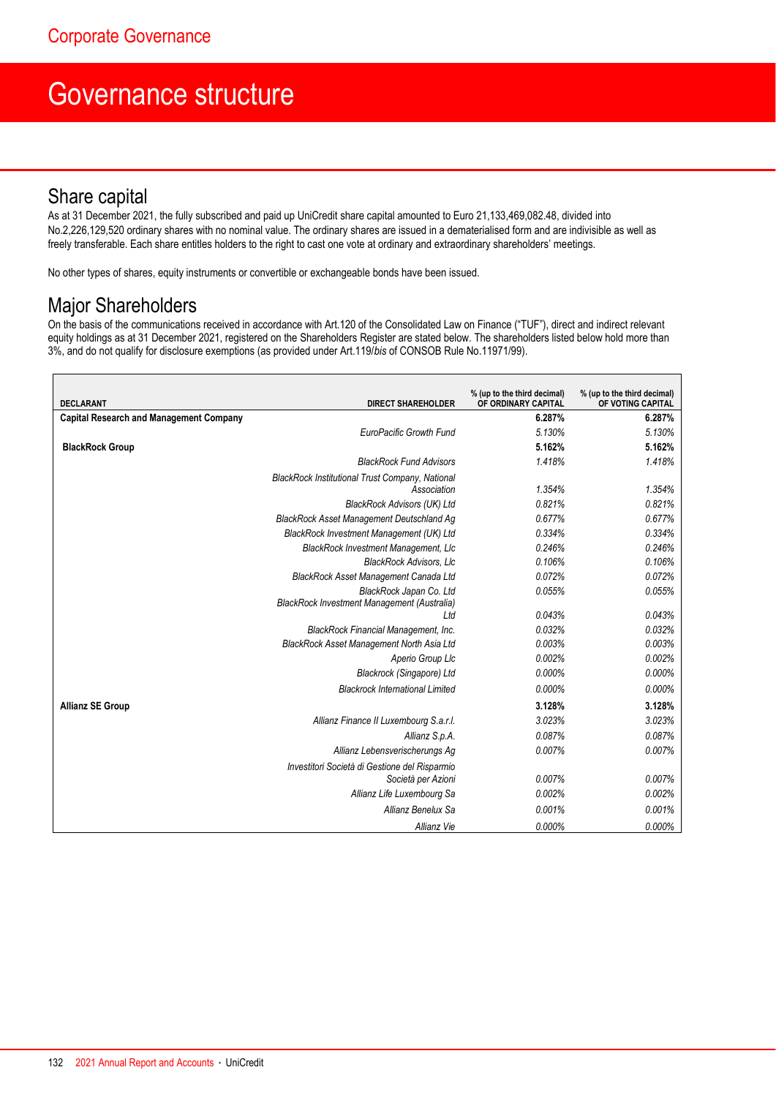### Share capital

As at 31 December 2021, the fully subscribed and paid up UniCredit share capital amounted to Euro 21,133,469,082.48, divided into No.2,226,129,520 ordinary shares with no nominal value. The ordinary shares are issued in a dematerialised form and are indivisible as well as freely transferable. Each share entitles holders to the right to cast one vote at ordinary and extraordinary shareholders' meetings.

No other types of shares, equity instruments or convertible or exchangeable bonds have been issued.

## Major Shareholders

On the basis of the communications received in accordance with Art.120 of the Consolidated Law on Finance ("TUF"), direct and indirect relevant equity holdings as at 31 December 2021, registered on the Shareholders Register are stated below. The shareholders listed below hold more than 3%, and do not qualify for disclosure exemptions (as provided under Art.119/*bis* of CONSOB Rule No.11971/99).

|                                                |                                                                     | % (up to the third decimal) | % (up to the third decimal) |
|------------------------------------------------|---------------------------------------------------------------------|-----------------------------|-----------------------------|
| <b>DECLARANT</b>                               | <b>DIRECT SHAREHOLDER</b>                                           | OF ORDINARY CAPITAL         | OF VOTING CAPITAL           |
| <b>Capital Research and Management Company</b> |                                                                     | 6.287%                      | 6.287%                      |
|                                                | <b>EuroPacific Growth Fund</b>                                      | 5.130%                      | 5.130%                      |
| <b>BlackRock Group</b>                         |                                                                     | 5.162%                      | 5.162%                      |
|                                                | <b>BlackRock Fund Advisors</b>                                      | 1.418%                      | 1.418%                      |
|                                                | <b>BlackRock Institutional Trust Company, National</b>              |                             |                             |
|                                                | Association                                                         | 1.354%                      | 1.354%                      |
|                                                | <b>BlackRock Advisors (UK) Ltd</b>                                  | 0.821%                      | 0.821%                      |
|                                                | <b>BlackRock Asset Management Deutschland Ag</b>                    | 0.677%                      | 0.677%                      |
|                                                | BlackRock Investment Management (UK) Ltd                            | 0.334%                      | 0.334%                      |
|                                                | <b>BlackRock Investment Management, LIc</b>                         | 0.246%                      | 0.246%                      |
|                                                | <b>BlackRock Advisors, Llc</b>                                      | 0.106%                      | 0.106%                      |
|                                                | BlackRock Asset Management Canada Ltd                               | 0.072%                      | 0.072%                      |
|                                                | BlackRock Japan Co. Ltd                                             | 0.055%                      | 0.055%                      |
|                                                | <b>BlackRock Investment Management (Australia)</b><br>Ltd           | 0.043%                      | 0.043%                      |
|                                                |                                                                     | 0.032%                      | 0.032%                      |
|                                                | <b>BlackRock Financial Management, Inc.</b>                         | 0.003%                      | 0.003%                      |
|                                                | <b>BlackRock Asset Management North Asia Ltd</b>                    |                             | 0.002%                      |
|                                                | Aperio Group Llc                                                    | 0.002%<br>0.000%            | 0.000%                      |
|                                                | Blackrock (Singapore) Ltd                                           |                             |                             |
|                                                | <b>Blackrock International Limited</b>                              | 0.000%                      | 0.000%                      |
| <b>Allianz SE Group</b>                        |                                                                     | 3.128%                      | 3.128%                      |
|                                                | Allianz Finance II Luxembourg S.a.r.l.                              | 3.023%                      | 3.023%                      |
|                                                | Allianz S.p.A.                                                      | 0.087%                      | 0.087%                      |
|                                                | Allianz Lebensverischerungs Ag                                      | 0.007%                      | 0.007%                      |
|                                                | Investitori Società di Gestione del Risparmio<br>Società per Azioni | 0.007%                      | 0.007%                      |
|                                                | Allianz Life Luxembourg Sa                                          | 0.002%                      | 0.002%                      |
|                                                | Allianz Benelux Sa                                                  | 0.001%                      | 0.001%                      |
|                                                | Allianz Vie                                                         | 0.000%                      | 0.000%                      |